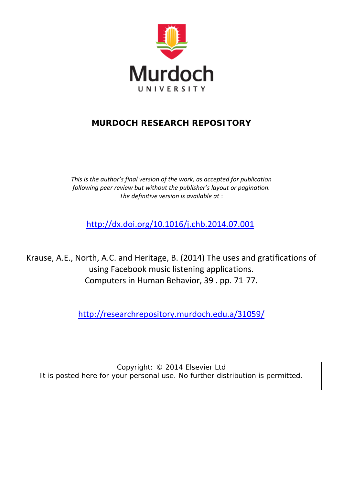

# **MURDOCH RESEARCH REPOSITORY**

*This is the author's final version of the work, as accepted for publication following peer review but without the publisher's layout or pagination. The definitive version is available at* :

<http://dx.doi.org/10.1016/j.chb.2014.07.001>

Krause, A.E., North, A.C. and Heritage, B. (2014) The uses and gratifications of using Facebook music listening applications. Computers in Human Behavior, 39 . pp. 71-77.

<http://researchrepository.murdoch.edu.a/31059/>

Copyright: © 2014 Elsevier Ltd It is posted here for your personal use. No further distribution is permitted.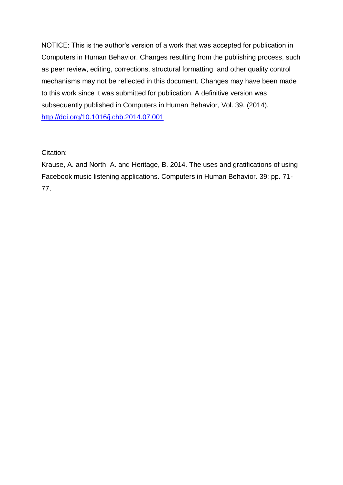NOTICE: This is the author's version of a work that was accepted for publication in Computers in Human Behavior. Changes resulting from the publishing process, such as peer review, editing, corrections, structural formatting, and other quality control mechanisms may not be reflected in this document. Changes may have been made to this work since it was submitted for publication. A definitive version was subsequently published in Computers in Human Behavior, Vol. 39. (2014). <http://doi.org/10.1016/j.chb.2014.07.001>

Citation:

Krause, A. and North, A. and Heritage, B. 2014. The uses and gratifications of using Facebook music listening applications. Computers in Human Behavior. 39: pp. 71- 77.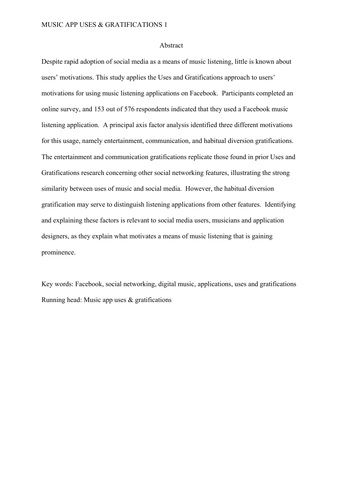#### Abstract

Despite rapid adoption of social media as a means of music listening, little is known about users' motivations. This study applies the Uses and Gratifications approach to users' motivations for using music listening applications on Facebook. Participants completed an online survey, and 153 out of 576 respondents indicated that they used a Facebook music listening application. A principal axis factor analysis identified three different motivations for this usage, namely entertainment, communication, and habitual diversion gratifications. The entertainment and communication gratifications replicate those found in prior Uses and Gratifications research concerning other social networking features, illustrating the strong similarity between uses of music and social media. However, the habitual diversion gratification may serve to distinguish listening applications from other features. Identifying and explaining these factors is relevant to social media users, musicians and application designers, as they explain what motivates a means of music listening that is gaining prominence.

Key words: Facebook, social networking, digital music, applications, uses and gratifications Running head: Music app uses & gratifications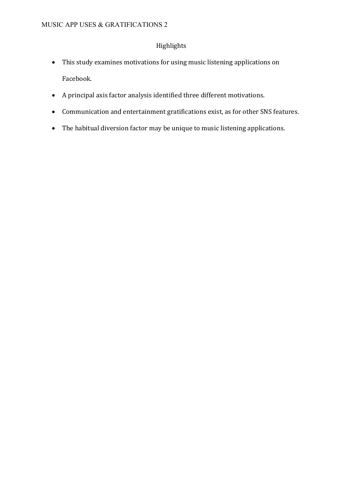## Highlights

- This study examines motivations for using music listening applications on Facebook.
- A principal axis factor analysis identified three different motivations.
- Communication and entertainment gratifications exist, as for other SNS features.
- The habitual diversion factor may be unique to music listening applications.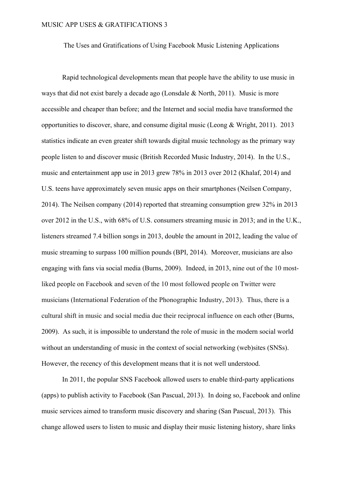The Uses and Gratifications of Using Facebook Music Listening Applications

 Rapid technological developments mean that people have the ability to use music in ways that did not exist barely a decade ago (Lonsdale & North, 2011). Music is more accessible and cheaper than before; and the Internet and social media have transformed the opportunities to discover, share, and consume digital music (Leong & Wright, 2011). 2013 statistics indicate an even greater shift towards digital music technology as the primary way people listen to and discover music (British Recorded Music Industry, 2014). In the U.S., music and entertainment app use in 2013 grew 78% in 2013 over 2012 (Khalaf, 2014) and U.S. teens have approximately seven music apps on their smartphones (Neilsen Company, 2014). The Neilsen company (2014) reported that streaming consumption grew 32% in 2013 over 2012 in the U.S., with 68% of U.S. consumers streaming music in 2013; and in the U.K., listeners streamed 7.4 billion songs in 2013, double the amount in 2012, leading the value of music streaming to surpass 100 million pounds (BPI, 2014). Moreover, musicians are also engaging with fans via social media (Burns, 2009). Indeed, in 2013, nine out of the 10 mostliked people on Facebook and seven of the 10 most followed people on Twitter were musicians (International Federation of the Phonographic Industry, 2013). Thus, there is a cultural shift in music and social media due their reciprocal influence on each other (Burns, 2009). As such, it is impossible to understand the role of music in the modern social world without an understanding of music in the context of social networking (web)sites (SNSs). However, the recency of this development means that it is not well understood.

In 2011, the popular SNS Facebook allowed users to enable third-party applications (apps) to publish activity to Facebook (San Pascual, 2013). In doing so, Facebook and online music services aimed to transform music discovery and sharing (San Pascual, 2013). This change allowed users to listen to music and display their music listening history, share links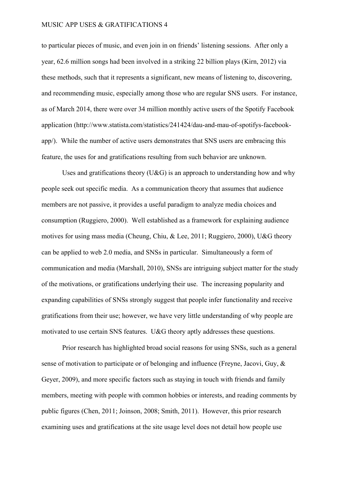to particular pieces of music, and even join in on friends' listening sessions. After only a year, 62.6 million songs had been involved in a striking 22 billion plays (Kirn, 2012) via these methods, such that it represents a significant, new means of listening to, discovering, and recommending music, especially among those who are regular SNS users. For instance, as of March 2014, there were over 34 million monthly active users of the Spotify Facebook application (http://www.statista.com/statistics/241424/dau-and-mau-of-spotifys-facebookapp/). While the number of active users demonstrates that SNS users are embracing this feature, the uses for and gratifications resulting from such behavior are unknown.

Uses and gratifications theory  $(U \& G)$  is an approach to understanding how and why people seek out specific media. As a communication theory that assumes that audience members are not passive, it provides a useful paradigm to analyze media choices and consumption (Ruggiero, 2000). Well established as a framework for explaining audience motives for using mass media (Cheung, Chiu, & Lee, 2011; Ruggiero, 2000), U&G theory can be applied to web 2.0 media, and SNSs in particular. Simultaneously a form of communication and media (Marshall, 2010), SNSs are intriguing subject matter for the study of the motivations, or gratifications underlying their use. The increasing popularity and expanding capabilities of SNSs strongly suggest that people infer functionality and receive gratifications from their use; however, we have very little understanding of why people are motivated to use certain SNS features. U&G theory aptly addresses these questions.

Prior research has highlighted broad social reasons for using SNSs, such as a general sense of motivation to participate or of belonging and influence (Freyne, Jacovi, Guy, & Geyer, 2009), and more specific factors such as staying in touch with friends and family members, meeting with people with common hobbies or interests, and reading comments by public figures (Chen, 2011; Joinson, 2008; Smith, 2011). However, this prior research examining uses and gratifications at the site usage level does not detail how people use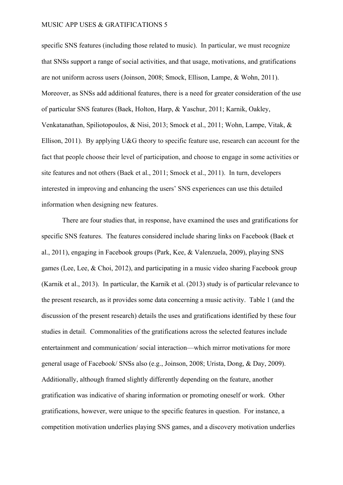specific SNS features (including those related to music). In particular, we must recognize that SNSs support a range of social activities, and that usage, motivations, and gratifications are not uniform across users (Joinson, 2008; Smock, Ellison, Lampe, & Wohn, 2011). Moreover, as SNSs add additional features, there is a need for greater consideration of the use of particular SNS features (Baek, Holton, Harp, & Yaschur, 2011; Karnik, Oakley, Venkatanathan, Spiliotopoulos, & Nisi, 2013; Smock et al., 2011; Wohn, Lampe, Vitak, & Ellison, 2011). By applying U&G theory to specific feature use, research can account for the fact that people choose their level of participation, and choose to engage in some activities or site features and not others (Baek et al., 2011; Smock et al., 2011). In turn, developers interested in improving and enhancing the users' SNS experiences can use this detailed information when designing new features.

There are four studies that, in response, have examined the uses and gratifications for specific SNS features. The features considered include sharing links on Facebook (Baek et al., 2011), engaging in Facebook groups (Park, Kee, & Valenzuela, 2009), playing SNS games (Lee, Lee, & Choi, 2012), and participating in a music video sharing Facebook group (Karnik et al., 2013). In particular, the Karnik et al. (2013) study is of particular relevance to the present research, as it provides some data concerning a music activity. Table 1 (and the discussion of the present research) details the uses and gratifications identified by these four studies in detail. Commonalities of the gratifications across the selected features include entertainment and communication/ social interaction—which mirror motivations for more general usage of Facebook/ SNSs also (e.g., Joinson, 2008; Urista, Dong, & Day, 2009). Additionally, although framed slightly differently depending on the feature, another gratification was indicative of sharing information or promoting oneself or work. Other gratifications, however, were unique to the specific features in question. For instance, a competition motivation underlies playing SNS games, and a discovery motivation underlies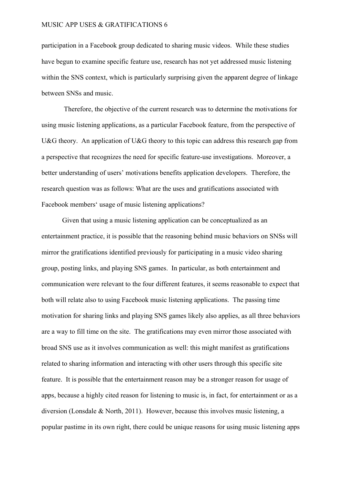participation in a Facebook group dedicated to sharing music videos. While these studies have begun to examine specific feature use, research has not yet addressed music listening within the SNS context, which is particularly surprising given the apparent degree of linkage between SNSs and music.

 Therefore, the objective of the current research was to determine the motivations for using music listening applications, as a particular Facebook feature, from the perspective of U&G theory. An application of U&G theory to this topic can address this research gap from a perspective that recognizes the need for specific feature-use investigations. Moreover, a better understanding of users' motivations benefits application developers. Therefore, the research question was as follows: What are the uses and gratifications associated with Facebook members' usage of music listening applications?

Given that using a music listening application can be conceptualized as an entertainment practice, it is possible that the reasoning behind music behaviors on SNSs will mirror the gratifications identified previously for participating in a music video sharing group, posting links, and playing SNS games. In particular, as both entertainment and communication were relevant to the four different features, it seems reasonable to expect that both will relate also to using Facebook music listening applications. The passing time motivation for sharing links and playing SNS games likely also applies, as all three behaviors are a way to fill time on the site. The gratifications may even mirror those associated with broad SNS use as it involves communication as well: this might manifest as gratifications related to sharing information and interacting with other users through this specific site feature. It is possible that the entertainment reason may be a stronger reason for usage of apps, because a highly cited reason for listening to music is, in fact, for entertainment or as a diversion (Lonsdale & North, 2011). However, because this involves music listening, a popular pastime in its own right, there could be unique reasons for using music listening apps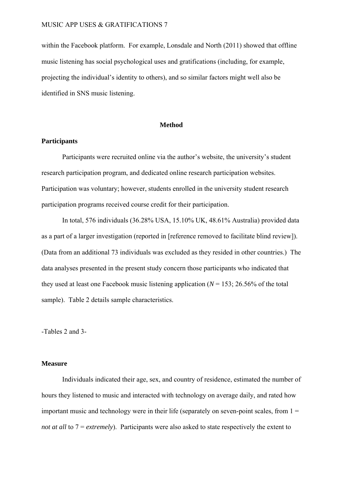within the Facebook platform. For example, Lonsdale and North (2011) showed that offline music listening has social psychological uses and gratifications (including, for example, projecting the individual's identity to others), and so similar factors might well also be identified in SNS music listening.

#### **Method**

#### **Participants**

Participants were recruited online via the author's website, the university's student research participation program, and dedicated online research participation websites. Participation was voluntary; however, students enrolled in the university student research participation programs received course credit for their participation.

In total, 576 individuals (36.28% USA, 15.10% UK, 48.61% Australia) provided data as a part of a larger investigation (reported in [reference removed to facilitate blind review]). (Data from an additional 73 individuals was excluded as they resided in other countries.) The data analyses presented in the present study concern those participants who indicated that they used at least one Facebook music listening application  $(N = 153; 26.56\%$  of the total sample). Table 2 details sample characteristics.

-Tables 2 and 3-

#### **Measure**

Individuals indicated their age, sex, and country of residence, estimated the number of hours they listened to music and interacted with technology on average daily, and rated how important music and technology were in their life (separately on seven-point scales, from  $1 =$ *not at all* to  $7 =$  *extremely*). Participants were also asked to state respectively the extent to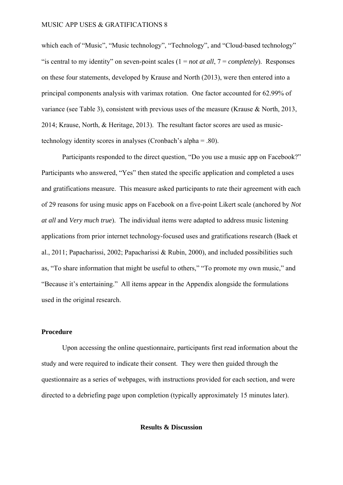which each of "Music", "Music technology", "Technology", and "Cloud-based technology" "is central to my identity" on seven-point scales  $(1 = not at all, 7 = completely)$ . Responses on these four statements, developed by Krause and North (2013), were then entered into a principal components analysis with varimax rotation. One factor accounted for 62.99% of variance (see Table 3), consistent with previous uses of the measure (Krause & North, 2013, 2014; Krause, North, & Heritage, 2013). The resultant factor scores are used as musictechnology identity scores in analyses (Cronbach's alpha = .80).

Participants responded to the direct question, "Do you use a music app on Facebook?" Participants who answered, "Yes" then stated the specific application and completed a uses and gratifications measure. This measure asked participants to rate their agreement with each of 29 reasons for using music apps on Facebook on a five-point Likert scale (anchored by *Not at all* and *Very much true*). The individual items were adapted to address music listening applications from prior internet technology-focused uses and gratifications research (Baek et al., 2011; Papacharissi, 2002; Papacharissi & Rubin, 2000), and included possibilities such as, "To share information that might be useful to others," "To promote my own music," and "Because it's entertaining." All items appear in the Appendix alongside the formulations used in the original research.

#### **Procedure**

Upon accessing the online questionnaire, participants first read information about the study and were required to indicate their consent. They were then guided through the questionnaire as a series of webpages, with instructions provided for each section, and were directed to a debriefing page upon completion (typically approximately 15 minutes later).

**Results & Discussion**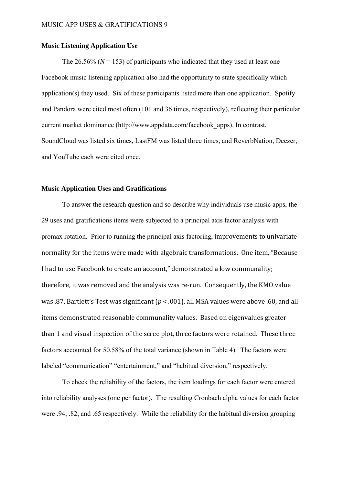#### **Music Listening Application Use**

The 26.56% ( $N = 153$ ) of participants who indicated that they used at least one Facebook music listening application also had the opportunity to state specifically which application(s) they used. Six of these participants listed more than one application. Spotify and Pandora were cited most often (101 and 36 times, respectively), reflecting their particular current market dominance (http://www.appdata.com/facebook\_apps). In contrast, SoundCloud was listed six times, LastFM was listed three times, and ReverbNation, Deezer, and YouTube each were cited once.

### **Music Application Uses and Gratifications**

To answer the research question and so describe why individuals use music apps, the 29 uses and gratifications items were subjected to a principal axis factor analysis with promax rotation. Prior to running the principal axis factoring, improvements to univariate normality for the items were made with algebraic transformations. One item, "Because I had to use Facebook to create an account," demonstrated a low communality; therefore, it was removed and the analysis was re-run. Consequently, the KMO value was .87, Bartlett's Test was significant ( $p < .001$ ), all MSA values were above .60, and all items demonstrated reasonable communality values. Based on eigenvalues greater than 1 and visual inspection of the scree plot, three factors were retained. These three factors accounted for 50.58% of the total variance (shown in Table 4). The factors were labeled "communication" "entertainment," and "habitual diversion," respectively.

To check the reliability of the factors, the item loadings for each factor were entered into reliability analyses (one per factor). The resulting Cronbach alpha values for each factor were .94, .82, and .65 respectively. While the reliability for the habitual diversion grouping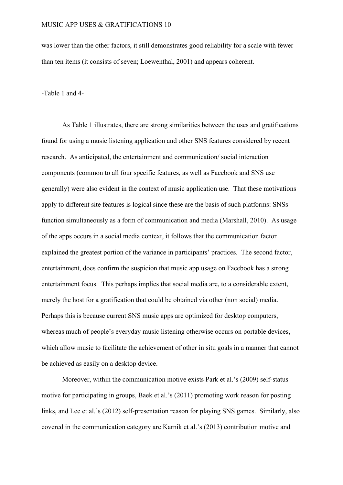was lower than the other factors, it still demonstrates good reliability for a scale with fewer than ten items (it consists of seven; Loewenthal, 2001) and appears coherent.

-Table 1 and 4-

As Table 1 illustrates, there are strong similarities between the uses and gratifications found for using a music listening application and other SNS features considered by recent research. As anticipated, the entertainment and communication/ social interaction components (common to all four specific features, as well as Facebook and SNS use generally) were also evident in the context of music application use. That these motivations apply to different site features is logical since these are the basis of such platforms: SNSs function simultaneously as a form of communication and media (Marshall, 2010). As usage of the apps occurs in a social media context, it follows that the communication factor explained the greatest portion of the variance in participants' practices. The second factor, entertainment, does confirm the suspicion that music app usage on Facebook has a strong entertainment focus. This perhaps implies that social media are, to a considerable extent, merely the host for a gratification that could be obtained via other (non social) media. Perhaps this is because current SNS music apps are optimized for desktop computers, whereas much of people's everyday music listening otherwise occurs on portable devices. which allow music to facilitate the achievement of other in situ goals in a manner that cannot be achieved as easily on a desktop device.

Moreover, within the communication motive exists Park et al.'s (2009) self-status motive for participating in groups, Baek et al.'s (2011) promoting work reason for posting links, and Lee et al.'s (2012) self-presentation reason for playing SNS games. Similarly, also covered in the communication category are Karnik et al.'s (2013) contribution motive and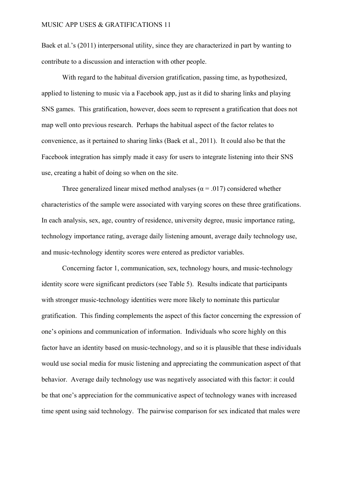Baek et al.'s (2011) interpersonal utility, since they are characterized in part by wanting to contribute to a discussion and interaction with other people.

With regard to the habitual diversion gratification, passing time, as hypothesized, applied to listening to music via a Facebook app, just as it did to sharing links and playing SNS games. This gratification, however, does seem to represent a gratification that does not map well onto previous research. Perhaps the habitual aspect of the factor relates to convenience, as it pertained to sharing links (Baek et al., 2011). It could also be that the Facebook integration has simply made it easy for users to integrate listening into their SNS use, creating a habit of doing so when on the site.

Three generalized linear mixed method analyses ( $\alpha$  = .017) considered whether characteristics of the sample were associated with varying scores on these three gratifications. In each analysis, sex, age, country of residence, university degree, music importance rating, technology importance rating, average daily listening amount, average daily technology use, and music-technology identity scores were entered as predictor variables.

Concerning factor 1, communication, sex, technology hours, and music-technology identity score were significant predictors (see Table 5). Results indicate that participants with stronger music-technology identities were more likely to nominate this particular gratification. This finding complements the aspect of this factor concerning the expression of one's opinions and communication of information. Individuals who score highly on this factor have an identity based on music-technology, and so it is plausible that these individuals would use social media for music listening and appreciating the communication aspect of that behavior. Average daily technology use was negatively associated with this factor: it could be that one's appreciation for the communicative aspect of technology wanes with increased time spent using said technology. The pairwise comparison for sex indicated that males were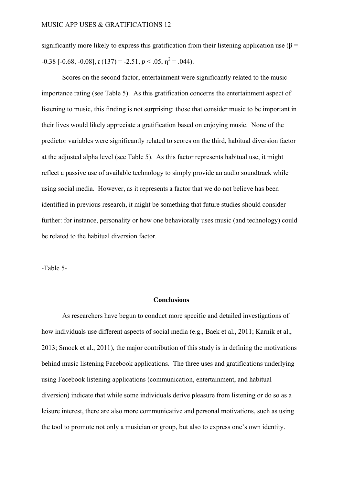significantly more likely to express this gratification from their listening application use ( $\beta$  =  $-0.38$   $[-0.68, -0.08]$ ,  $t(137) = -2.51$ ,  $p < .05$ ,  $\eta^2 = .044$ ).

Scores on the second factor, entertainment were significantly related to the music importance rating (see Table 5). As this gratification concerns the entertainment aspect of listening to music, this finding is not surprising: those that consider music to be important in their lives would likely appreciate a gratification based on enjoying music. None of the predictor variables were significantly related to scores on the third, habitual diversion factor at the adjusted alpha level (see Table 5). As this factor represents habitual use, it might reflect a passive use of available technology to simply provide an audio soundtrack while using social media. However, as it represents a factor that we do not believe has been identified in previous research, it might be something that future studies should consider further: for instance, personality or how one behaviorally uses music (and technology) could be related to the habitual diversion factor.

-Table 5-

### **Conclusions**

 As researchers have begun to conduct more specific and detailed investigations of how individuals use different aspects of social media (e.g., Baek et al., 2011; Karnik et al., 2013; Smock et al., 2011), the major contribution of this study is in defining the motivations behind music listening Facebook applications. The three uses and gratifications underlying using Facebook listening applications (communication, entertainment, and habitual diversion) indicate that while some individuals derive pleasure from listening or do so as a leisure interest, there are also more communicative and personal motivations, such as using the tool to promote not only a musician or group, but also to express one's own identity.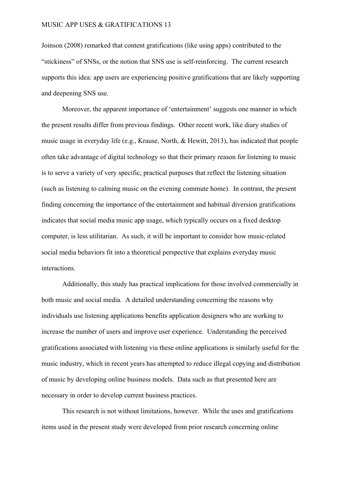Joinson (2008) remarked that content gratifications (like using apps) contributed to the "stickiness" of SNSs, or the notion that SNS use is self-reinforcing. The current research supports this idea: app users are experiencing positive gratifications that are likely supporting and deepening SNS use.

Moreover, the apparent importance of 'entertainment' suggests one manner in which the present results differ from previous findings. Other recent work, like diary studies of music usage in everyday life (e.g., Krause, North, & Hewitt, 2013), has indicated that people often take advantage of digital technology so that their primary reason for listening to music is to serve a variety of very specific, practical purposes that reflect the listening situation (such as listening to calming music on the evening commute home). In contrast, the present finding concerning the importance of the entertainment and habitual diversion gratifications indicates that social media music app usage, which typically occurs on a fixed desktop computer, is less utilitarian. As such, it will be important to consider how music-related social media behaviors fit into a theoretical perspective that explains everyday music interactions.

Additionally, this study has practical implications for those involved commercially in both music and social media. A detailed understanding concerning the reasons why individuals use listening applications benefits application designers who are working to increase the number of users and improve user experience. Understanding the perceived gratifications associated with listening via these online applications is similarly useful for the music industry, which in recent years has attempted to reduce illegal copying and distribution of music by developing online business models. Data such as that presented here are necessary in order to develop current business practices.

This research is not without limitations, however. While the uses and gratifications items used in the present study were developed from prior research concerning online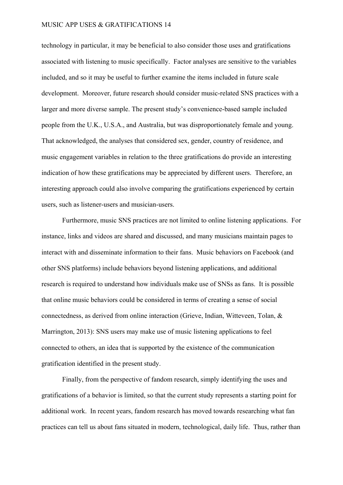technology in particular, it may be beneficial to also consider those uses and gratifications associated with listening to music specifically. Factor analyses are sensitive to the variables included, and so it may be useful to further examine the items included in future scale development. Moreover, future research should consider music-related SNS practices with a larger and more diverse sample. The present study's convenience-based sample included people from the U.K., U.S.A., and Australia, but was disproportionately female and young. That acknowledged, the analyses that considered sex, gender, country of residence, and music engagement variables in relation to the three gratifications do provide an interesting indication of how these gratifications may be appreciated by different users. Therefore, an interesting approach could also involve comparing the gratifications experienced by certain users, such as listener-users and musician-users.

Furthermore, music SNS practices are not limited to online listening applications. For instance, links and videos are shared and discussed, and many musicians maintain pages to interact with and disseminate information to their fans. Music behaviors on Facebook (and other SNS platforms) include behaviors beyond listening applications, and additional research is required to understand how individuals make use of SNSs as fans. It is possible that online music behaviors could be considered in terms of creating a sense of social connectedness, as derived from online interaction (Grieve, Indian, Witteveen, Tolan, & Marrington, 2013): SNS users may make use of music listening applications to feel connected to others, an idea that is supported by the existence of the communication gratification identified in the present study.

Finally, from the perspective of fandom research, simply identifying the uses and gratifications of a behavior is limited, so that the current study represents a starting point for additional work. In recent years, fandom research has moved towards researching what fan practices can tell us about fans situated in modern, technological, daily life. Thus, rather than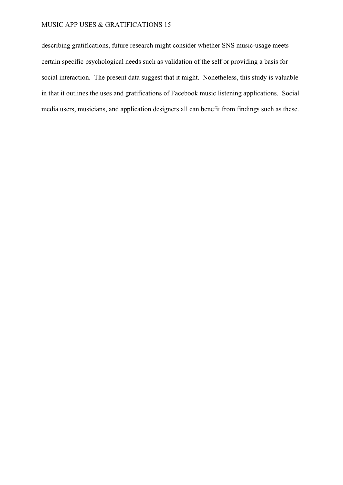describing gratifications, future research might consider whether SNS music-usage meets certain specific psychological needs such as validation of the self or providing a basis for social interaction. The present data suggest that it might. Nonetheless, this study is valuable in that it outlines the uses and gratifications of Facebook music listening applications. Social media users, musicians, and application designers all can benefit from findings such as these.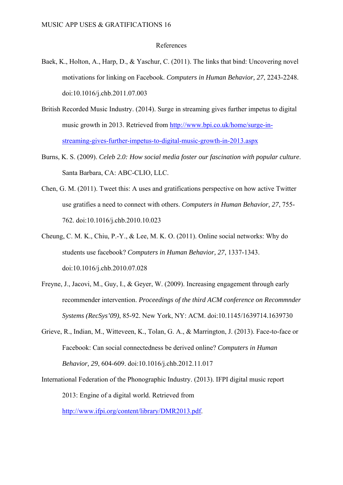#### References

- Baek, K., Holton, A., Harp, D., & Yaschur, C. (2011). The links that bind: Uncovering novel motivations for linking on Facebook. *Computers in Human Behavior, 27*, 2243-2248. doi:10.1016/j.chb.2011.07.003
- British Recorded Music Industry. (2014). Surge in streaming gives further impetus to digital music growth in 2013. Retrieved from http://www.bpi.co.uk/home/surge-instreaming-gives-further-impetus-to-digital-music-growth-in-2013.aspx
- Burns, K. S. (2009). *Celeb 2.0: How social media foster our fascination with popular culture*. Santa Barbara, CA: ABC-CLIO, LLC.
- Chen, G. M. (2011). Tweet this: A uses and gratifications perspective on how active Twitter use gratifies a need to connect with others. *Computers in Human Behavior, 27*, 755- 762. doi:10.1016/j.chb.2010.10.023
- Cheung, C. M. K., Chiu, P.-Y., & Lee, M. K. O. (2011). Online social networks: Why do students use facebook? *Computers in Human Behavior, 27*, 1337-1343. doi:10.1016/j.chb.2010.07.028
- Freyne, J., Jacovi, M., Guy, I., & Geyer, W. (2009). Increasing engagement through early recommender intervention. *Proceedings of the third ACM conference on Recommnder Systems (RecSys'09)*, 85-92. New York, NY: ACM. doi:10.1145/1639714.1639730
- Grieve, R., Indian, M., Witteveen, K., Tolan, G. A., & Marrington, J. (2013). Face-to-face or Facebook: Can social connectedness be derived online? *Computers in Human Behavior, 29*, 604-609. doi:10.1016/j.chb.2012.11.017
- International Federation of the Phonographic Industry. (2013). IFPI digital music report 2013: Engine of a digital world. Retrieved from http://www.ifpi.org/content/library/DMR2013.pdf.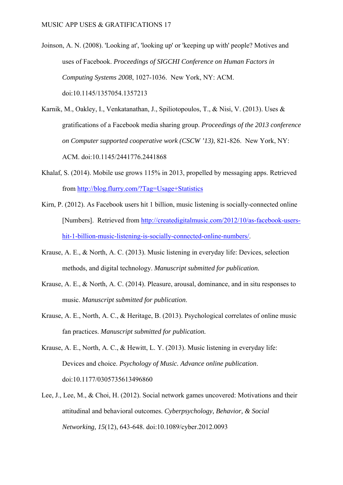- Joinson, A. N. (2008). 'Looking at', 'looking up' or 'keeping up with' people? Motives and uses of Facebook. *Proceedings of SIGCHI Conference on Human Factors in Computing Systems 2008*, 1027-1036. New York, NY: ACM. doi:10.1145/1357054.1357213
- Karnik, M., Oakley, I., Venkatanathan, J., Spiliotopoulos, T., & Nisi, V. (2013). Uses & gratifications of a Facebook media sharing group. *Proceedings of the 2013 conference on Computer supported cooperative work (CSCW '13)*, 821-826. New York, NY: ACM. doi:10.1145/2441776.2441868
- Khalaf, S. (2014). Mobile use grows 115% in 2013, propelled by messaging apps. Retrieved from http://blog.flurry.com/?Tag=Usage+Statistics
- Kirn, P. (2012). As Facebook users hit 1 billion, music listening is socially-connected online [Numbers]. Retrieved from http://createdigitalmusic.com/2012/10/as-facebook-usershit-1-billion-music-listening-is-socially-connected-online-numbers/.
- Krause, A. E., & North, A. C. (2013). Music listening in everyday life: Devices, selection methods, and digital technology. *Manuscript submitted for publication.*
- Krause, A. E., & North, A. C. (2014). Pleasure, arousal, dominance, and in situ responses to music. *Manuscript submitted for publication*.
- Krause, A. E., North, A. C., & Heritage, B. (2013). Psychological correlates of online music fan practices. *Manuscript submitted for publication.*
- Krause, A. E., North, A. C., & Hewitt, L. Y. (2013). Music listening in everyday life: Devices and choice. *Psychology of Music. Advance online publication*. doi:10.1177/0305735613496860
- Lee, J., Lee, M., & Choi, H. (2012). Social network games uncovered: Motivations and their attitudinal and behavioral outcomes. *Cyberpsychology, Behavior, & Social Networking, 15*(12), 643-648. doi:10.1089/cyber.2012.0093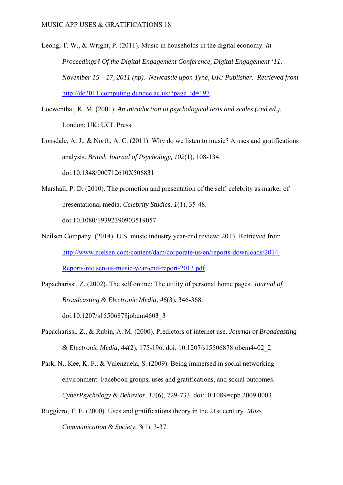- Leong, T. W., & Wright, P. (2011). Music in households in the digital economy. *In Proceedings? Of the Digital Engagement Conference, Digital Engagement '11, November 15 – 17, 2011 (np). Newcastle upon Tyne, UK: Publisher. Retrieved from*  http://de2011.computing.dundee.ac.uk/?page\_id=197.
- Loewenthal, K. M. (2001). *An introduction to psychological tests and scales (2nd ed.)*. London: UK: UCL Press.
- Lonsdale, A. J., & North, A. C. (2011). Why do we listen to music? A uses and gratifications analysis. *British Journal of Psychology, 102*(1), 108-134.

doi:10.1348/000712610X506831

- Marshall, P. D. (2010). The promotion and presentation of the self: celebrity as marker of presentational media. *Celebrity Studies, 1*(1), 35-48. doi:10.1080/19392390903519057
- Neilsen Company. (2014). U.S. music industry year-end review: 2013. Retrieved from http://www.nielsen.com/content/dam/corporate/us/en/reports-downloads/2014 Reports/nielsen-us-music-year-end-report-2013.pdf
- Papacharissi, Z. (2002). The self online: The utility of personal home pages. *Journal of Broadcasting & Electronic Media, 46*(3), 346-368. doi:10.1207/s15506878jobem4603\_3
- Papacharissi, Z., & Rubin, A. M. (2000). Predictors of internet use. *Journal of Broadcasting & Electronic Media, 44*(2), 175-196. doi: 10.1207/s15506878jobem4402\_2
- Park, N., Kee, K. F., & Valenzuela, S. (2009). Being immersed in social networking environment: Facebook groups, uses and gratifications, and social outcomes. *CyberPsychology & Behavior, 12*(6), 729-733. doi:10.1089=cpb.2009.0003
- Ruggiero, T. E. (2000). Uses and gratifications theory in the 21st century. *Mass Communication & Society, 3*(1), 3-37.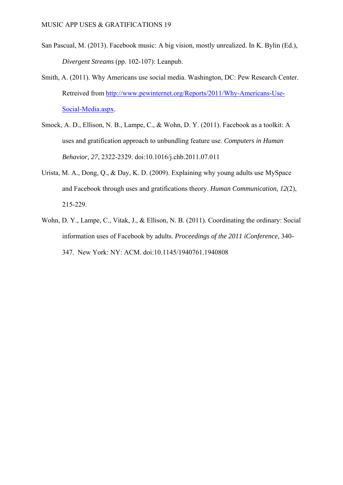- San Pascual, M. (2013). Facebook music: A big vision, mostly unrealized. In K. Bylin (Ed.), *Divergent Streams* (pp. 102-107): Leanpub.
- Smith, A. (2011). Why Americans use social media. Washington, DC: Pew Research Center. Retreived from http://www.pewinternet.org/Reports/2011/Why-Americans-Use-Social-Media.aspx.
- Smock, A. D., Ellison, N. B., Lampe, C., & Wohn, D. Y. (2011). Facebook as a toolkit: A uses and gratification approach to unbundling feature use. *Computers in Human Behavior, 27*, 2322-2329. doi:10.1016/j.chb.2011.07.011
- Urista, M. A., Dong, Q., & Day, K. D. (2009). Explaining why young adults use MySpace and Facebook through uses and gratifications theory. *Human Communication, 12*(2), 215-229.
- Wohn, D. Y., Lampe, C., Vitak, J., & Ellison, N. B. (2011). Coordinating the ordinary: Social information uses of Facebook by adults. *Proceedings of the 2011 iConference*, 340- 347. New York: NY: ACM. doi:10.1145/1940761.1940808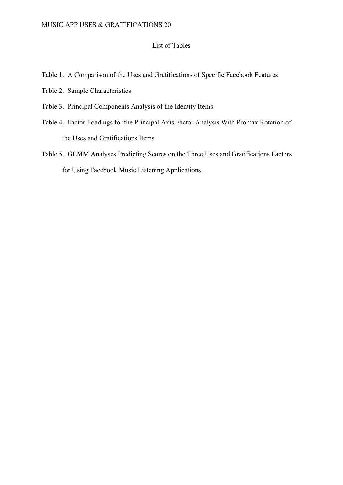### List of Tables

- Table 1. A Comparison of the Uses and Gratifications of Specific Facebook Features
- Table 2. Sample Characteristics
- Table 3. Principal Components Analysis of the Identity Items
- Table 4. Factor Loadings for the Principal Axis Factor Analysis With Promax Rotation of the Uses and Gratifications Items
- Table 5. GLMM Analyses Predicting Scores on the Three Uses and Gratifications Factors for Using Facebook Music Listening Applications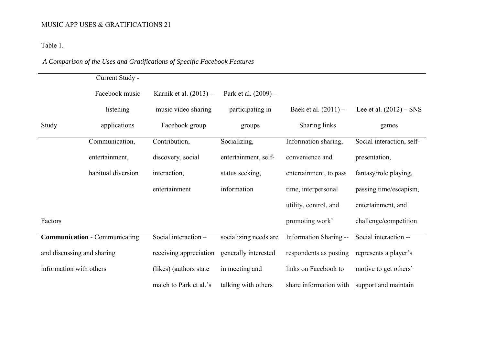Table 1.

## *A Comparison of the Uses and Gratifications of Specific Facebook Features*

|                            | Current Study -                      |                          |                        |                        |                           |
|----------------------------|--------------------------------------|--------------------------|------------------------|------------------------|---------------------------|
|                            | Facebook music                       | Karnik et al. $(2013)$ – | Park et al. $(2009)$ – |                        |                           |
|                            | listening                            | music video sharing      | participating in       | Baek et al. $(2011)$ – | Lee et al. $(2012) - SNS$ |
| Study                      | applications                         | Facebook group           | groups                 | Sharing links          | games                     |
|                            | Communication,                       | Contribution,            | Socializing,           | Information sharing,   | Social interaction, self- |
|                            | entertainment,                       | discovery, social        | entertainment, self-   | convenience and        | presentation,             |
|                            | habitual diversion                   | interaction,             | status seeking,        | entertainment, to pass | fantasy/role playing,     |
|                            |                                      | entertainment            | information            | time, interpersonal    | passing time/escapism,    |
|                            |                                      |                          |                        | utility, control, and  | entertainment, and        |
| Factors                    |                                      |                          |                        | promoting work'        | challenge/competition     |
|                            | <b>Communication - Communicating</b> | Social interaction -     | socializing needs are  | Information Sharing -- | Social interaction --     |
| and discussing and sharing |                                      | receiving appreciation   | generally interested   | respondents as posting | represents a player's     |
| information with others    |                                      | (likes) (authors state)  | in meeting and         | links on Facebook to   | motive to get others'     |
|                            |                                      | match to Park et al.'s   | talking with others    | share information with | support and maintain      |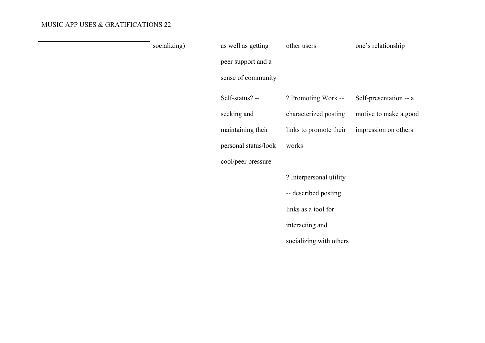| socializing) | as well as getting   | other users             | one's relationship     |
|--------------|----------------------|-------------------------|------------------------|
|              | peer support and a   |                         |                        |
|              | sense of community   |                         |                        |
|              | Self-status? --      | ? Promoting Work --     | Self-presentation -- a |
|              | seeking and          | characterized posting   | motive to make a good  |
|              | maintaining their    | links to promote their  | impression on others   |
|              | personal status/look | works                   |                        |
|              | cool/peer pressure   |                         |                        |
|              |                      | ? Interpersonal utility |                        |
|              |                      | -- described posting    |                        |
|              |                      | links as a tool for     |                        |
|              |                      | interacting and         |                        |
|              |                      | socializing with others |                        |
|              |                      |                         |                        |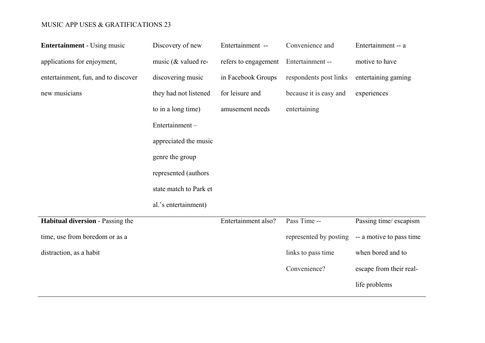| <b>Entertainment - Using music</b>  | Discovery of new       | Entertainment --     | Convenience and        | Entertainment -- a       |
|-------------------------------------|------------------------|----------------------|------------------------|--------------------------|
| applications for enjoyment,         | music (& valued re-    | refers to engagement | Entertainment --       | motive to have           |
| entertainment, fun, and to discover | discovering music      | in Facebook Groups   | respondents post links | entertaining gaming      |
| new musicians                       | they had not listened  | for leisure and      | because it is easy and | experiences              |
|                                     | to in a long time)     | amusement needs      | entertaining           |                          |
|                                     | Entertainment-         |                      |                        |                          |
|                                     | appreciated the music  |                      |                        |                          |
|                                     | genre the group        |                      |                        |                          |
|                                     | represented (authors)  |                      |                        |                          |
|                                     | state match to Park et |                      |                        |                          |
|                                     | al.'s entertainment)   |                      |                        |                          |
| Habitual diversion - Passing the    |                        | Entertainment also?  | Pass Time --           | Passing time/escapism    |
| time, use from boredom or as a      |                        |                      | represented by posting | -- a motive to pass time |
| distraction, as a habit             |                        |                      | links to pass time     | when bored and to        |
|                                     |                        |                      | Convenience?           | escape from their real-  |
|                                     |                        |                      |                        | life problems            |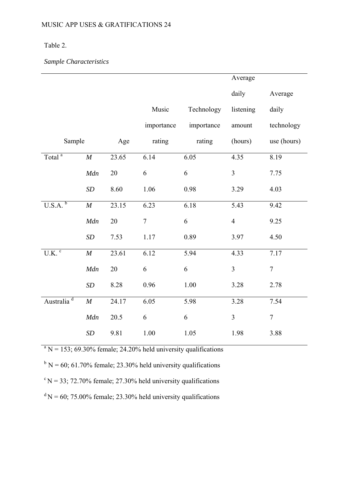## Table 2.

## *Sample Characteristics*

|                        |          |        |                |                  | Average                 |                  |
|------------------------|----------|--------|----------------|------------------|-------------------------|------------------|
|                        |          |        |                |                  | daily                   | Average          |
|                        |          |        | Music          | Technology       | listening               | daily            |
|                        |          |        | importance     | importance       | amount                  | technology       |
| Sample                 |          | Age    | rating         | rating           | (hours)                 | use (hours)      |
| Total <sup>a</sup>     | M        | 23.65  | 6.14           | 6.05             | 4.35                    | 8.19             |
|                        | Mdn      | 20     | 6              | $\boldsymbol{6}$ | $\overline{\mathbf{3}}$ | 7.75             |
|                        | SD       | 8.60   | 1.06           | 0.98             | 3.29                    | 4.03             |
| U.S.A. <sup>b</sup>    | $\cal M$ | 23.15  | 6.23           | 6.18             | 5.43                    | 9.42             |
|                        | Mdn      | $20\,$ | $\overline{7}$ | 6                | $\overline{4}$          | 9.25             |
|                        | SD       | 7.53   | 1.17           | 0.89             | 3.97                    | 4.50             |
| U.K. <sup>c</sup>      | $\cal M$ | 23.61  | 6.12           | 5.94             | 4.33                    | 7.17             |
|                        | Mdn      | 20     | 6              | 6                | $\overline{3}$          | $\tau$           |
|                        | SD       | 8.28   | 0.96           | 1.00             | 3.28                    | 2.78             |
| Australia <sup>d</sup> | $\cal M$ | 24.17  | 6.05           | 5.98             | 3.28                    | 7.54             |
|                        | Mdn      | 20.5   | 6              | 6                | $\overline{3}$          | $\boldsymbol{7}$ |
|                        | SD       | 9.81   | 1.00           | 1.05             | 1.98                    | 3.88             |

 $a<sup>a</sup>$  N = 153; 69.30% female; 24.20% held university qualifications

 $b$  N = 60; 61.70% female; 23.30% held university qualifications

 $c$  N = 33; 72.70% female; 27.30% held university qualifications

 $d$  N = 60; 75.00% female; 23.30% held university qualifications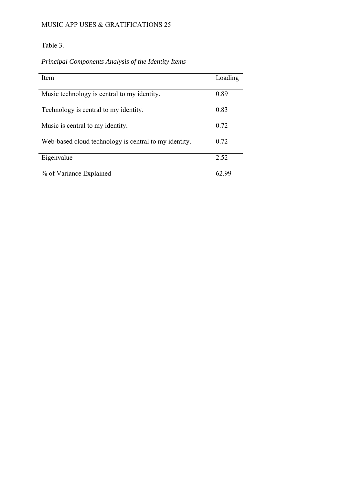## Table 3.

# *Principal Components Analysis of the Identity Items*

| Item                                                  | Loading |
|-------------------------------------------------------|---------|
| Music technology is central to my identity.           | 0.89    |
| Technology is central to my identity.                 | 0.83    |
| Music is central to my identity.                      | 0.72    |
| Web-based cloud technology is central to my identity. | 0.72    |
| Eigenvalue                                            | 2.52    |
| % of Variance Explained                               | 62.99   |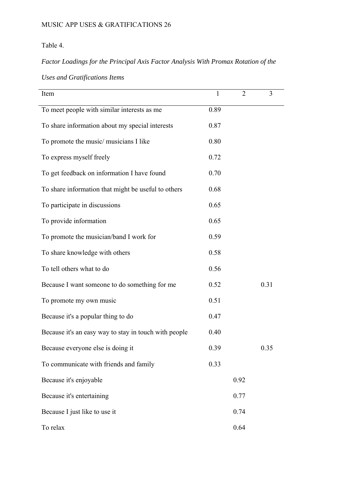## Table 4.

*Factor Loadings for the Principal Axis Factor Analysis With Promax Rotation of the* 

| Item                                                  | 1    | $\overline{2}$ | 3    |
|-------------------------------------------------------|------|----------------|------|
| To meet people with similar interests as me           | 0.89 |                |      |
| To share information about my special interests       | 0.87 |                |      |
| To promote the music/ musicians I like                | 0.80 |                |      |
| To express myself freely                              | 0.72 |                |      |
| To get feedback on information I have found           | 0.70 |                |      |
| To share information that might be useful to others   | 0.68 |                |      |
| To participate in discussions                         | 0.65 |                |      |
| To provide information                                | 0.65 |                |      |
| To promote the musician/band I work for               | 0.59 |                |      |
| To share knowledge with others                        | 0.58 |                |      |
| To tell others what to do                             | 0.56 |                |      |
| Because I want someone to do something for me         | 0.52 |                | 0.31 |
| To promote my own music                               | 0.51 |                |      |
| Because it's a popular thing to do                    | 0.47 |                |      |
| Because it's an easy way to stay in touch with people | 0.40 |                |      |
| Because everyone else is doing it                     | 0.39 |                | 0.35 |
| To communicate with friends and family                | 0.33 |                |      |
| Because it's enjoyable                                |      | 0.92           |      |
| Because it's entertaining                             |      | 0.77           |      |
| Because I just like to use it                         |      | 0.74           |      |
| To relax                                              |      | 0.64           |      |

*Uses and Gratifications Items*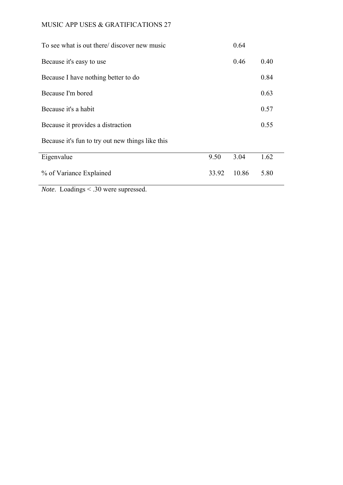| To see what is out there/ discover new music     |       | 0.64  |      |
|--------------------------------------------------|-------|-------|------|
| Because it's easy to use                         |       | 0.46  | 0.40 |
| Because I have nothing better to do              |       |       | 0.84 |
| Because I'm bored                                |       |       | 0.63 |
| Because it's a habit                             |       |       | 0.57 |
| Because it provides a distraction                |       |       | 0.55 |
| Because it's fun to try out new things like this |       |       |      |
| Eigenvalue                                       | 9.50  | 3.04  | 1.62 |
| % of Variance Explained                          | 33.92 | 10.86 | 5.80 |
| <i>Note.</i> Loadings $\leq$ .30 were supressed. |       |       |      |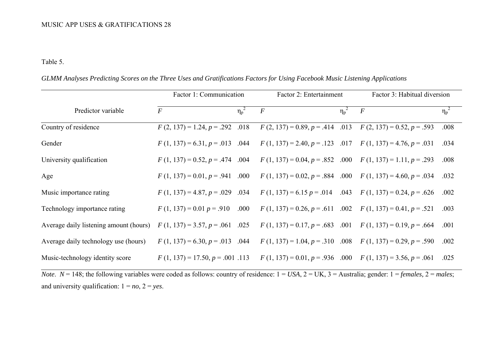#### Table 5.

|                                        | Factor 1: Communication            |            | Factor 2: Entertainment           |            | Factor 3: Habitual diversion                                   |                  |
|----------------------------------------|------------------------------------|------------|-----------------------------------|------------|----------------------------------------------------------------|------------------|
| Predictor variable                     | $\boldsymbol{F}$                   | $\eta_p^2$ | $\boldsymbol{F}$                  | $\eta_p^2$ | $\overline{F}$                                                 | $\eta_{\rm p}^2$ |
| Country of residence                   | $F(2, 137) = 1.24, p = .292$ .018  |            |                                   |            | $F(2, 137) = 0.89, p = .414$ .013 $F(2, 137) = 0.52, p = .593$ | .008             |
| Gender                                 | $F(1, 137) = 6.31, p = .013$ .044  |            | $F(1, 137) = 2.40, p = .123$ .017 |            | $F(1, 137) = 4.76, p = .031$                                   | .034             |
| University qualification               | $F(1, 137) = 0.52, p = .474$ .004  |            |                                   |            | $F(1, 137) = 0.04, p = .852$ .000 $F(1, 137) = 1.11, p = .293$ | .008             |
| Age                                    | $F(1, 137) = 0.01, p = .941$ .000  |            | $F(1, 137) = 0.02, p = .884$ .000 |            | $F(1, 137) = 4.60, p = .034$                                   | .032             |
| Music importance rating                | $F(1, 137) = 4.87, p = .029$ .034  |            | $F(1, 137) = 6.15 p = .014$ .043  |            | $F(1, 137) = 0.24, p = .626$                                   | .002             |
| Technology importance rating           | $F(1, 137) = 0.01 p = .910$        | .000       |                                   |            | $F(1, 137) = 0.26, p = .611$ .002 $F(1, 137) = 0.41, p = .521$ | .003             |
| Average daily listening amount (hours) | $F(1, 137) = 3.57, p = .061$ .025  |            | $F(1, 137) = 0.17, p = .683$ .001 |            | $F(1, 137) = 0.19, p = .664$                                   | .001             |
| Average daily technology use (hours)   | $F(1, 137) = 6.30, p = .013$ .044  |            | $F(1, 137) = 1.04, p = .310$ .008 |            | $F(1, 137) = 0.29, p = .590$                                   | .002             |
| Music-technology identity score        | $F(1, 137) = 17.50, p = .001$ .113 |            | $F(1, 137) = 0.01, p = .936$ .000 |            | $F(1, 137) = 3.56, p = .061$                                   | .025             |

*GLMM Analyses Predicting Scores on the Three Uses and Gratifications Factors for Using Facebook Music Listening Applications* 

*Note.*  $N = 148$ ; the following variables were coded as follows: country of residence:  $1 = USA$ ,  $2 = UK$ ,  $3 =$  Australia; gender:  $1 =$  *females*,  $2 =$  *males*; and university qualification:  $1 = no$ ,  $2 = yes$ .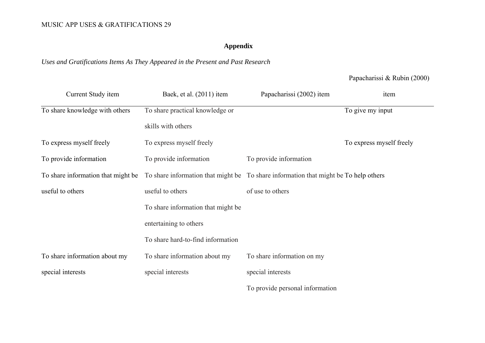## **Appendix**

*Uses and Gratifications Items As They Appeared in the Present and Past Research* 

Papacharissi & Rubin (2000)

| Current Study item                 | Baek, et al. (2011) item                                                             | Papacharissi (2002) item        | item                     |
|------------------------------------|--------------------------------------------------------------------------------------|---------------------------------|--------------------------|
| To share knowledge with others     | To share practical knowledge or                                                      |                                 | To give my input         |
|                                    | skills with others                                                                   |                                 |                          |
| To express myself freely           | To express myself freely                                                             |                                 | To express myself freely |
| To provide information             | To provide information                                                               | To provide information          |                          |
| To share information that might be | To share information that might be To share information that might be To help others |                                 |                          |
| useful to others                   | useful to others                                                                     | of use to others                |                          |
|                                    | To share information that might be                                                   |                                 |                          |
|                                    | entertaining to others                                                               |                                 |                          |
|                                    | To share hard-to-find information                                                    |                                 |                          |
| To share information about my      | To share information about my                                                        | To share information on my      |                          |
| special interests                  | special interests                                                                    | special interests               |                          |
|                                    |                                                                                      | To provide personal information |                          |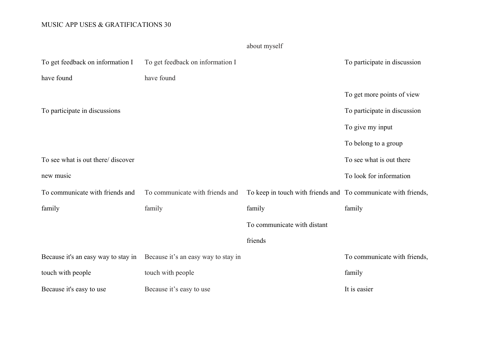about myself To get feedback on information I have found To get feedback on information I have found To participate in discussion To get more points of view To participate in discussions To participate in discussion To give my input To belong to a group To see what is out there/ discover new music To see what is out there To look for information To communicate with friends and family To communicate with friends and family To keep in touch with friends and To communicate with friends, family family To communicate with distant friends Because it's an easy way to stay in Because it's an easy way to stay in touch with people touch with people To communicate with friends, family Because it's easy to use Because it's easy to use It is easier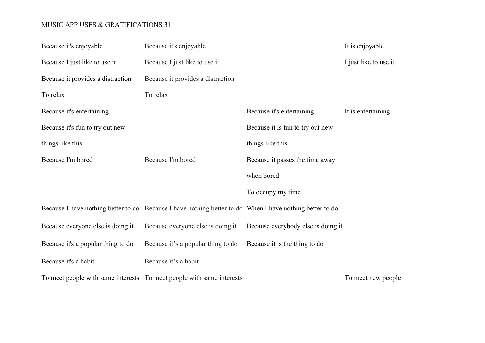| Because it's enjoyable                                                | Because it's enjoyable                                                                                   |                                    | It is enjoyable.      |
|-----------------------------------------------------------------------|----------------------------------------------------------------------------------------------------------|------------------------------------|-----------------------|
| Because I just like to use it                                         | Because I just like to use it                                                                            |                                    | I just like to use it |
| Because it provides a distraction                                     | Because it provides a distraction                                                                        |                                    |                       |
| To relax                                                              | To relax                                                                                                 |                                    |                       |
| Because it's entertaining                                             |                                                                                                          | Because it's entertaining          | It is entertaining    |
| Because it's fun to try out new                                       |                                                                                                          | Because it is fun to try out new   |                       |
| things like this                                                      |                                                                                                          | things like this                   |                       |
| Because I'm bored                                                     | Because I'm bored                                                                                        | Because it passes the time away    |                       |
|                                                                       |                                                                                                          | when bored                         |                       |
|                                                                       |                                                                                                          | To occupy my time                  |                       |
|                                                                       | Because I have nothing better to do Because I have nothing better to do When I have nothing better to do |                                    |                       |
| Because everyone else is doing it                                     | Because everyone else is doing it                                                                        | Because everybody else is doing it |                       |
| Because it's a popular thing to do                                    | Because it's a popular thing to do                                                                       | Because it is the thing to do      |                       |
| Because it's a habit                                                  | Because it's a habit                                                                                     |                                    |                       |
| To meet people with same interests To meet people with same interests |                                                                                                          |                                    | To meet new people    |